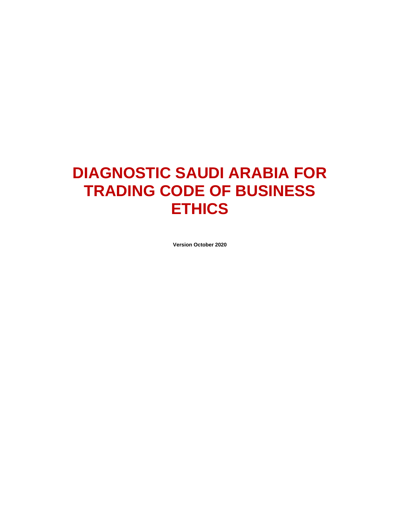# **DIAGNOSTIC SAUDI ARABIA FOR TRADING CODE OF BUSINESS ETHICS**

**Version October 2020**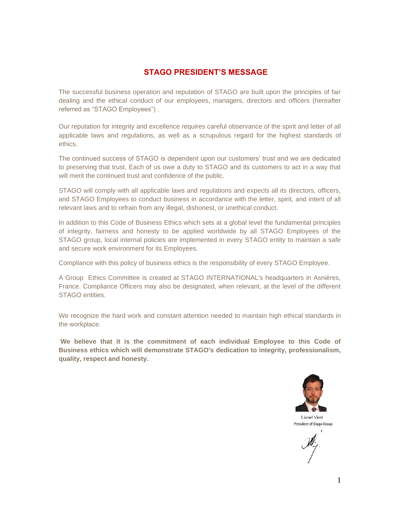#### **STAGO PRESIDENT'S MESSAGE**

The successful business operation and reputation of STAGO are built upon the principles of fair dealing and the ethical conduct of our employees, managers, directors and officers (hereafter referred as "STAGO Employees") .

Our reputation for integrity and excellence requires careful observance of the spirit and letter of all applicable laws and regulations, as well as a scrupulous regard for the highest standards of ethics.

The continued success of STAGO is dependent upon our customers' trust and we are dedicated to preserving that trust. Each of us owe a duty to STAGO and its customers to act in a way that will merit the continued trust and confidence of the public.

STAGO will comply with all applicable laws and regulations and expects all its directors, officers, and STAGO Employees to conduct business in accordance with the letter, spirit, and intent of all relevant laws and to refrain from any illegal, dishonest, or unethical conduct.

In addition to this Code of Business Ethics which sets at a global level the fundamental principles of integrity, fairness and honesty to be applied worldwide by all STAGO Employees of the STAGO group, local internal policies are implemented in every STAGO entity to maintain a safe and secure work environment for its Employees.

Compliance with this policy of business ethics is the responsibility of every STAGO Employee.

A Group Ethics Committee is created at STAGO INTERNATIONAL's headquarters in Asnières, France. Compliance Officers may also be designated, when relevant, at the level of the different STAGO entities.

We recognize the hard work and constant attention needed to maintain high ethical standards in the workplace.

**We believe that it is the commitment of each individual Employee to this Code of Business ethics which will demonstrate STAGO's dedication to integrity, professionalism, quality, respect and honesty.**

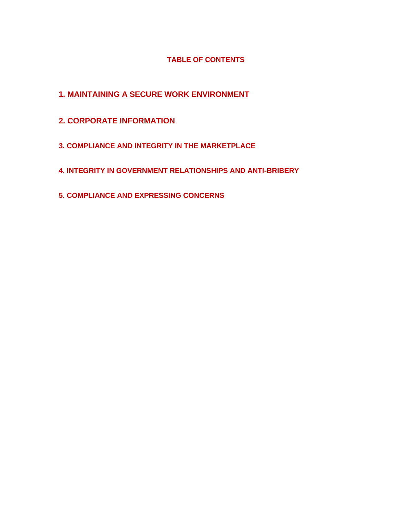#### **TABLE OF CONTENTS**

- **1. MAINTAINING A SECURE WORK ENVIRONMENT**
- **2. CORPORATE INFORMATION**
- **3. COMPLIANCE AND INTEGRITY IN THE MARKETPLACE**
- **4. INTEGRITY IN GOVERNMENT RELATIONSHIPS AND ANTI-BRIBERY**
- **5. COMPLIANCE AND EXPRESSING CONCERNS**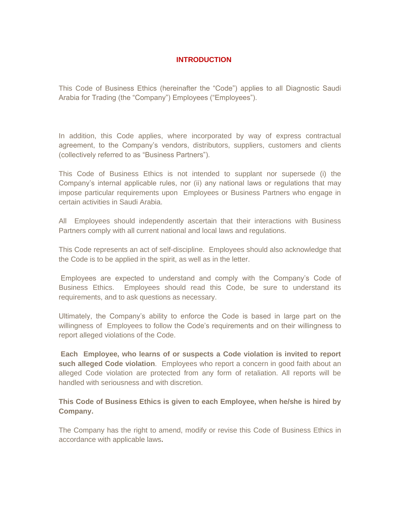#### **INTRODUCTION**

This Code of Business Ethics (hereinafter the "Code") applies to all Diagnostic Saudi Arabia for Trading (the "Company") Employees ("Employees").

In addition, this Code applies, where incorporated by way of express contractual agreement, to the Company's vendors, distributors, suppliers, customers and clients (collectively referred to as "Business Partners").

This Code of Business Ethics is not intended to supplant nor supersede (i) the Company's internal applicable rules, nor (ii) any national laws or regulations that may impose particular requirements upon Employees or Business Partners who engage in certain activities in Saudi Arabia.

All Employees should independently ascertain that their interactions with Business Partners comply with all current national and local laws and regulations.

This Code represents an act of self-discipline. Employees should also acknowledge that the Code is to be applied in the spirit, as well as in the letter.

Employees are expected to understand and comply with the Company's Code of Business Ethics. Employees should read this Code, be sure to understand its requirements, and to ask questions as necessary.

Ultimately, the Company's ability to enforce the Code is based in large part on the willingness of Employees to follow the Code's requirements and on their willingness to report alleged violations of the Code.

**Each Employee, who learns of or suspects a Code violation is invited to report such alleged Code violation**. Employees who report a concern in good faith about an alleged Code violation are protected from any form of retaliation. All reports will be handled with seriousness and with discretion.

**This Code of Business Ethics is given to each Employee, when he/she is hired by Company.** 

The Company has the right to amend, modify or revise this Code of Business Ethics in accordance with applicable laws**.**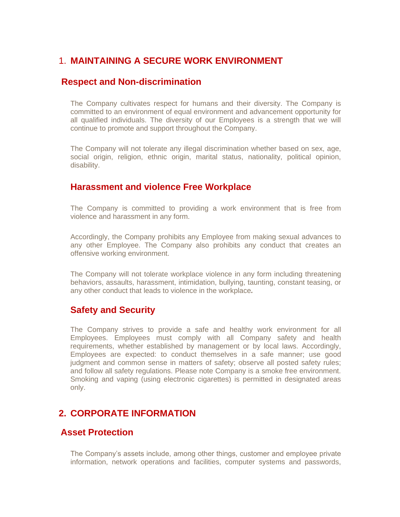## 1. **MAINTAINING A SECURE WORK ENVIRONMENT**

#### **Respect and Non-discrimination**

The Company cultivates respect for humans and their diversity. The Company is committed to an environment of equal environment and advancement opportunity for all qualified individuals. The diversity of our Employees is a strength that we will continue to promote and support throughout the Company.

The Company will not tolerate any illegal discrimination whether based on sex, age, social origin, religion, ethnic origin, marital status, nationality, political opinion, disability.

#### **Harassment and violence Free Workplace**

The Company is committed to providing a work environment that is free from violence and harassment in any form.

Accordingly, the Company prohibits any Employee from making sexual advances to any other Employee. The Company also prohibits any conduct that creates an offensive working environment.

The Company will not tolerate workplace violence in any form including threatening behaviors, assaults, harassment, intimidation, bullying, taunting, constant teasing, or any other conduct that leads to violence in the workplace*.* 

#### **Safety and Security**

The Company strives to provide a safe and healthy work environment for all Employees. Employees must comply with all Company safety and health requirements, whether established by management or by local laws. Accordingly, Employees are expected: to conduct themselves in a safe manner; use good judgment and common sense in matters of safety; observe all posted safety rules; and follow all safety regulations. Please note Company is a smoke free environment. Smoking and vaping (using electronic cigarettes) is permitted in designated areas only.

## **2. CORPORATE INFORMATION**

#### **Asset Protection**

The Company's assets include, among other things, customer and employee private information, network operations and facilities, computer systems and passwords,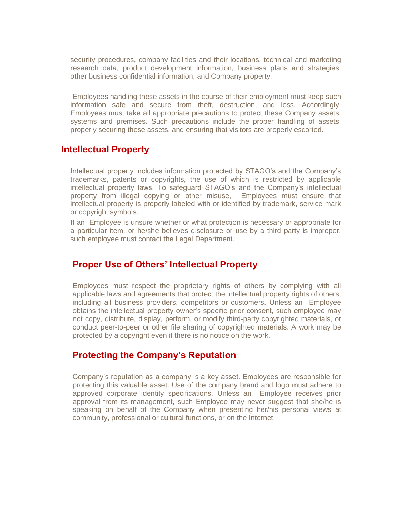security procedures, company facilities and their locations, technical and marketing research data, product development information, business plans and strategies, other business confidential information, and Company property.

Employees handling these assets in the course of their employment must keep such information safe and secure from theft, destruction, and loss. Accordingly, Employees must take all appropriate precautions to protect these Company assets, systems and premises. Such precautions include the proper handling of assets, properly securing these assets, and ensuring that visitors are properly escorted.

#### **Intellectual Property**

Intellectual property includes information protected by STAGO's and the Company's trademarks, patents or copyrights, the use of which is restricted by applicable intellectual property laws. To safeguard STAGO's and the Company's intellectual property from illegal copying or other misuse, Employees must ensure that intellectual property is properly labeled with or identified by trademark, service mark or copyright symbols.

If an Employee is unsure whether or what protection is necessary or appropriate for a particular item, or he/she believes disclosure or use by a third party is improper, such employee must contact the Legal Department.

#### **Proper Use of Others' Intellectual Property**

Employees must respect the proprietary rights of others by complying with all applicable laws and agreements that protect the intellectual property rights of others, including all business providers, competitors or customers. Unless an Employee obtains the intellectual property owner's specific prior consent, such employee may not copy, distribute, display, perform, or modify third-party copyrighted materials, or conduct peer-to-peer or other file sharing of copyrighted materials. A work may be protected by a copyright even if there is no notice on the work.

## **Protecting the Company's Reputation**

Company's reputation as a company is a key asset. Employees are responsible for protecting this valuable asset. Use of the company brand and logo must adhere to approved corporate identity specifications. Unless an Employee receives prior approval from its management, such Employee may never suggest that she/he is speaking on behalf of the Company when presenting her/his personal views at community, professional or cultural functions, or on the Internet.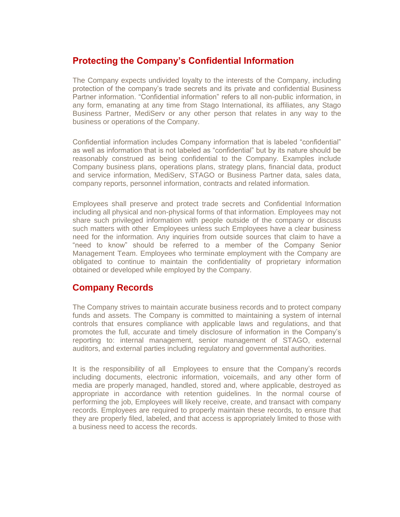## **Protecting the Company's Confidential Information**

The Company expects undivided loyalty to the interests of the Company, including protection of the company's trade secrets and its private and confidential Business Partner information. "Confidential information" refers to all non-public information, in any form, emanating at any time from Stago International, its affiliates, any Stago Business Partner, MediServ or any other person that relates in any way to the business or operations of the Company.

Confidential information includes Company information that is labeled "confidential" as well as information that is not labeled as "confidential" but by its nature should be reasonably construed as being confidential to the Company. Examples include Company business plans, operations plans, strategy plans, financial data, product and service information, MediServ, STAGO or Business Partner data, sales data, company reports, personnel information, contracts and related information.

Employees shall preserve and protect trade secrets and Confidential Information including all physical and non-physical forms of that information. Employees may not share such privileged information with people outside of the company or discuss such matters with other Employees unless such Employees have a clear business need for the information. Any inquiries from outside sources that claim to have a "need to know" should be referred to a member of the Company Senior Management Team. Employees who terminate employment with the Company are obligated to continue to maintain the confidentiality of proprietary information obtained or developed while employed by the Company.

## **Company Records**

The Company strives to maintain accurate business records and to protect company funds and assets. The Company is committed to maintaining a system of internal controls that ensures compliance with applicable laws and regulations, and that promotes the full, accurate and timely disclosure of information in the Company's reporting to: internal management, senior management of STAGO, external auditors, and external parties including regulatory and governmental authorities.

It is the responsibility of all Employees to ensure that the Company's records including documents, electronic information, voicemails, and any other form of media are properly managed, handled, stored and, where applicable, destroyed as appropriate in accordance with retention guidelines. In the normal course of performing the job, Employees will likely receive, create, and transact with company records. Employees are required to properly maintain these records, to ensure that they are properly filed, labeled, and that access is appropriately limited to those with a business need to access the records.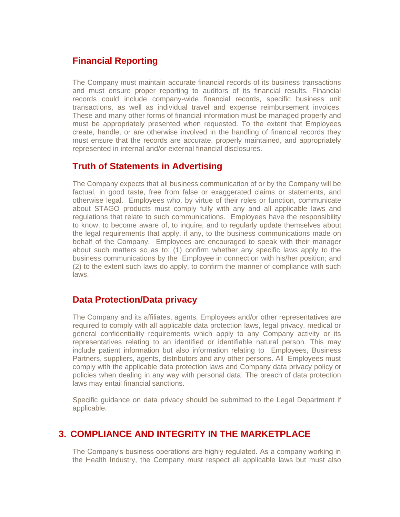## **Financial Reporting**

The Company must maintain accurate financial records of its business transactions and must ensure proper reporting to auditors of its financial results. Financial records could include company-wide financial records, specific business unit transactions, as well as individual travel and expense reimbursement invoices. These and many other forms of financial information must be managed properly and must be appropriately presented when requested. To the extent that Employees create, handle, or are otherwise involved in the handling of financial records they must ensure that the records are accurate, properly maintained, and appropriately represented in internal and/or external financial disclosures.

## **Truth of Statements in Advertising**

The Company expects that all business communication of or by the Company will be factual, in good taste, free from false or exaggerated claims or statements, and otherwise legal. Employees who, by virtue of their roles or function, communicate about STAGO products must comply fully with any and all applicable laws and regulations that relate to such communications. Employees have the responsibility to know, to become aware of, to inquire, and to regularly update themselves about the legal requirements that apply, if any, to the business communications made on behalf of the Company. Employees are encouraged to speak with their manager about such matters so as to: (1) confirm whether any specific laws apply to the business communications by the Employee in connection with his/her position; and (2) to the extent such laws do apply, to confirm the manner of compliance with such laws.

## **Data Protection/Data privacy**

The Company and its affiliates, agents, Employees and/or other representatives are required to comply with all applicable data protection laws, legal privacy, medical or general confidentiality requirements which apply to any Company activity or its representatives relating to an identified or identifiable natural person. This may include patient information but also information relating to Employees, Business Partners, suppliers, agents, distributors and any other persons. All Employees must comply with the applicable data protection laws and Company data privacy policy or policies when dealing in any way with personal data. The breach of data protection laws may entail financial sanctions.

Specific guidance on data privacy should be submitted to the Legal Department if applicable.

## **3. COMPLIANCE AND INTEGRITY IN THE MARKETPLACE**

The Company's business operations are highly regulated. As a company working in the Health Industry, the Company must respect all applicable laws but must also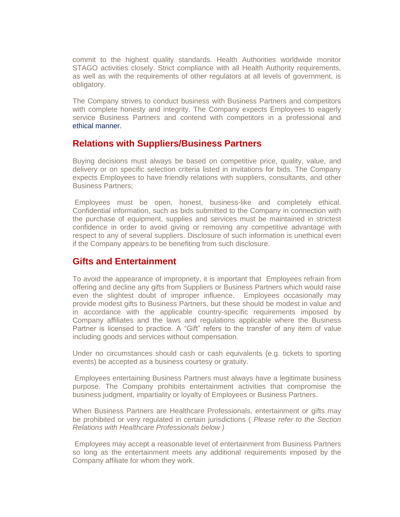commit to the highest quality standards. Health Authorities worldwide monitor STAGO activities closely. Strict compliance with all Health Authority requirements, as well as with the requirements of other regulators at all levels of government, is obligatory.

The Company strives to conduct business with Business Partners and competitors with complete honesty and integrity. The Company expects Employees to eagerly service Business Partners and contend with competitors in a professional and ethical manner.

#### **Relations with Suppliers/Business Partners**

Buying decisions must always be based on competitive price, quality, value, and delivery or on specific selection criteria listed in invitations for bids. The Company expects Employees to have friendly relations with suppliers, consultants, and other Business Partners;

Employees must be open, honest, business-like and completely ethical. Confidential information, such as bids submitted to the Company in connection with the purchase of equipment, supplies and services must be maintained in strictest confidence in order to avoid giving or removing any competitive advantage with respect to any of several suppliers. Disclosure of such information is unethical even if the Company appears to be benefiting from such disclosure.

#### **Gifts and Entertainment**

To avoid the appearance of impropriety, it is important that Employees refrain from offering and decline any gifts from Suppliers or Business Partners which would raise even the slightest doubt of improper influence. Employees occasionally may provide modest gifts to Business Partners, but these should be modest in value and in accordance with the applicable country-specific requirements imposed by Company affiliates and the laws and regulations applicable where the Business Partner is licensed to practice. A "Gift" refers to the transfer of any item of value including goods and services without compensation.

Under no circumstances should cash or cash equivalents (e.g. tickets to sporting events) be accepted as a business courtesy or gratuity.

Employees entertaining Business Partners must always have a legitimate business purpose. The Company prohibits entertainment activities that compromise the business judgment, impartiality or loyalty of Employees or Business Partners.

When Business Partners are Healthcare Professionals, entertainment or gifts may be prohibited or very regulated in certain jurisdictions ( *Please refer to the Section Relations with Healthcare Professionals below )* 

Employees may accept a reasonable level of entertainment from Business Partners so long as the entertainment meets any additional requirements imposed by the Company affiliate for whom they work.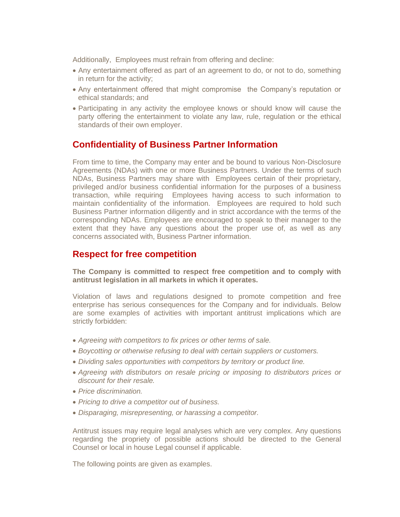Additionally, Employees must refrain from offering and decline:

- Any entertainment offered as part of an agreement to do, or not to do, something in return for the activity;
- Any entertainment offered that might compromise the Company's reputation or ethical standards; and
- Participating in any activity the employee knows or should know will cause the party offering the entertainment to violate any law, rule, regulation or the ethical standards of their own employer.

## **Confidentiality of Business Partner Information**

From time to time, the Company may enter and be bound to various Non-Disclosure Agreements (NDAs) with one or more Business Partners. Under the terms of such NDAs, Business Partners may share with Employees certain of their proprietary, privileged and/or business confidential information for the purposes of a business transaction, while requiring Employees having access to such information to maintain confidentiality of the information. Employees are required to hold such Business Partner information diligently and in strict accordance with the terms of the corresponding NDAs. Employees are encouraged to speak to their manager to the extent that they have any questions about the proper use of, as well as any concerns associated with, Business Partner information.

#### **Respect for free competition**

#### **The Company is committed to respect free competition and to comply with antitrust legislation in all markets in which it operates.**

Violation of laws and regulations designed to promote competition and free enterprise has serious consequences for the Company and for individuals. Below are some examples of activities with important antitrust implications which are strictly forbidden:

- *Agreeing with competitors to fix prices or other terms of sale.*
- *Boycotting or otherwise refusing to deal with certain suppliers or customers.*
- *Dividing sales opportunities with competitors by territory or product line.*
- *Agreeing with distributors on resale pricing or imposing to distributors prices or discount for their resale.*
- *Price discrimination.*
- *Pricing to drive a competitor out of business.*
- *Disparaging, misrepresenting, or harassing a competitor.*

Antitrust issues may require legal analyses which are very complex. Any questions regarding the propriety of possible actions should be directed to the General Counsel or local in house Legal counsel if applicable.

The following points are given as examples.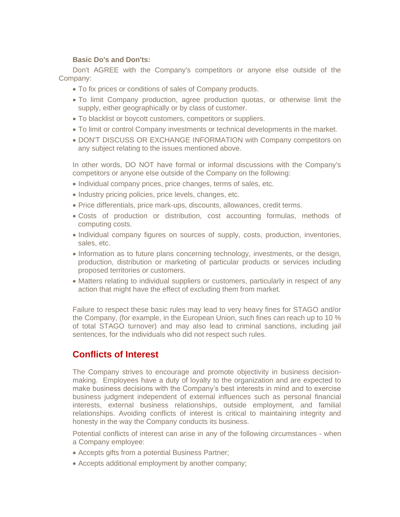#### **Basic Do's and Don'ts:**

Don't AGREE with the Company's competitors or anyone else outside of the Company:

- To fix prices or conditions of sales of Company products.
- To limit Company production, agree production quotas, or otherwise limit the supply, either geographically or by class of customer.
- To blacklist or boycott customers, competitors or suppliers.
- To limit or control Company investments or technical developments in the market.
- DON'T DISCUSS OR EXCHANGE INFORMATION with Company competitors on any subject relating to the issues mentioned above.

In other words, DO NOT have formal or informal discussions with the Company's competitors or anyone else outside of the Company on the following:

- Individual company prices, price changes, terms of sales, etc.
- Industry pricing policies, price levels, changes, etc.
- Price differentials, price mark-ups, discounts, allowances, credit terms.
- Costs of production or distribution, cost accounting formulas, methods of computing costs.
- Individual company figures on sources of supply, costs, production, inventories, sales, etc.
- Information as to future plans concerning technology, investments, or the design, production, distribution or marketing of particular products or services including proposed territories or customers.
- Matters relating to individual suppliers or customers, particularly in respect of any action that might have the effect of excluding them from market.

Failure to respect these basic rules may lead to very heavy fines for STAGO and/or the Company, (for example, in the European Union, such fines can reach up to 10 % of total STAGO turnover) and may also lead to criminal sanctions, including jail sentences, for the individuals who did not respect such rules.

## **Conflicts of Interest**

The Company strives to encourage and promote objectivity in business decisionmaking. Employees have a duty of loyalty to the organization and are expected to make business decisions with the Company's best interests in mind and to exercise business judgment independent of external influences such as personal financial interests, external business relationships, outside employment, and familial relationships. Avoiding conflicts of interest is critical to maintaining integrity and honesty in the way the Company conducts its business.

Potential conflicts of interest can arise in any of the following circumstances - when a Company employee:

- Accepts gifts from a potential Business Partner;
- Accepts additional employment by another company;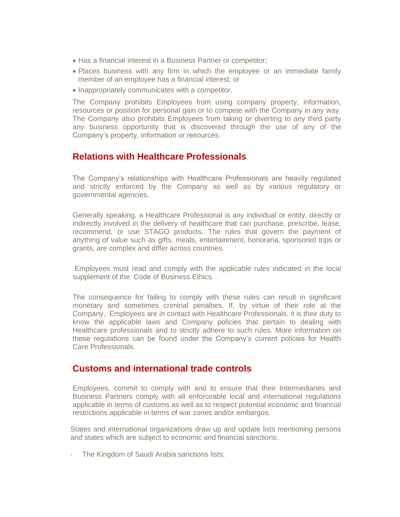- Has a financial interest in a Business Partner or competitor;
- Places business with any firm in which the employee or an immediate family member of an employee has a financial interest; or
- Inappropriately communicates with a competitor.

The Company prohibits Employees from using company property, information, resources or position for personal gain or to compete with the Company in any way. The Company also prohibits Employees from taking or diverting to any third party any business opportunity that is discovered through the use of any of the Company's property, information or resources.

#### **Relations with Healthcare Professionals**

The Company's relationships with Healthcare Professionals are heavily regulated and strictly enforced by the Company as well as by various regulatory or governmental agencies.

Generally speaking, a Healthcare Professional is any individual or entity, directly or indirectly involved in the delivery of healthcare that can purchase, prescribe, lease, recommend, or use STAGO products. The rules that govern the payment of anything of value such as gifts, meals, entertainment, honoraria, sponsored trips or grants, are complex and differ across countries.

Employees must read and comply with the applicable rules indicated in the local supplement of the Code of Business Ethics.

The consequence for failing to comply with these rules can result in significant monetary and sometimes criminal penalties. If, by virtue of their role at the Company, Employees are in contact with Healthcare Professionals, it is their duty to know the applicable laws and Company policies that pertain to dealing with Healthcare professionals and to strictly adhere to such rules. More information on these regulations can be found under the Company's current policies for Health Care Professionals.

#### **Customs and international trade controls**

Employees, commit to comply with and to ensure that their Intermediaries and Business Partners comply with all enforceable local and international regulations applicable in terms of customs as well as to respect potential economic and financial restrictions applicable in terms of war zones and/or embargos.

States and international organizations draw up and update lists mentioning persons and states which are subject to economic and financial sanctions:

- The Kingdom of Saudi Arabia sanctions lists;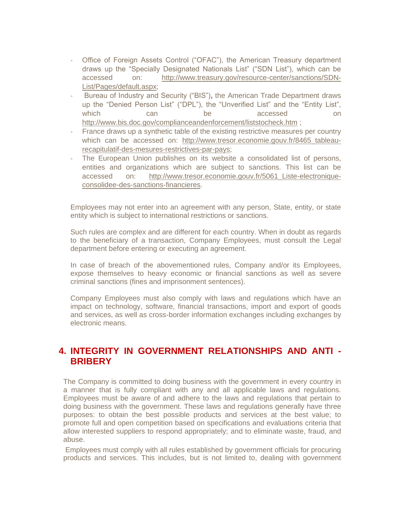- Office of Foreign Assets Control ("OFAC"), the American Treasury department draws up the "Specially Designated Nationals List" ("SDN List"), which can be accessed on: [http://www.treasury.gov/resource-center/sanctions/SDN-](http://www.treasury.gov/resource-center/sanctions/SDN-List/Pages/default.aspx)[List/Pages/default.aspx;](http://www.treasury.gov/resource-center/sanctions/SDN-List/Pages/default.aspx)
- Bureau of Industry and Security ("BIS")**,** the American Trade Department draws up the "Denied Person List" ("DPL"), the "Unverified List" and the "Entity List", which can be accessed on <http://www.bis.doc.gov/complianceandenforcement/liststocheck.htm> ;
- France draws up a synthetic table of the existing restrictive measures per country which can be accessed on: [http://www.tresor.economie.gouv.fr/8465\\_tableau](http://www.tresor.economie.gouv.fr/8465_tableau-recapitulatif-des-mesures-restrictives-par-pays)[recapitulatif-des-mesures-restrictives-par-pays;](http://www.tresor.economie.gouv.fr/8465_tableau-recapitulatif-des-mesures-restrictives-par-pays)
- The European Union publishes on its website a consolidated list of persons, entities and organizations which are subject to sanctions. This list can be accessed on: [http://www.tresor.economie.gouv.fr/5061\\_Liste-electronique](http://www.tresor.economie.gouv.fr/5061_Liste-electronique-consolidee-des-sanctions-financieres)[consolidee-des-sanctions-financieres.](http://www.tresor.economie.gouv.fr/5061_Liste-electronique-consolidee-des-sanctions-financieres)

Employees may not enter into an agreement with any person, State, entity, or state entity which is subject to international restrictions or sanctions.

Such rules are complex and are different for each country. When in doubt as regards to the beneficiary of a transaction, Company Employees, must consult the Legal department before entering or executing an agreement.

In case of breach of the abovementioned rules, Company and/or its Employees, expose themselves to heavy economic or financial sanctions as well as severe criminal sanctions (fines and imprisonment sentences).

Company Employees must also comply with laws and regulations which have an impact on technology, software, financial transactions, import and export of goods and services, as well as cross-border information exchanges including exchanges by electronic means.

## **4. INTEGRITY IN GOVERNMENT RELATIONSHIPS AND ANTI - BRIBERY**

The Company is committed to doing business with the government in every country in a manner that is fully compliant with any and all applicable laws and regulations. Employees must be aware of and adhere to the laws and regulations that pertain to doing business with the government. These laws and regulations generally have three purposes: to obtain the best possible products and services at the best value; to promote full and open competition based on specifications and evaluations criteria that allow interested suppliers to respond appropriately; and to eliminate waste, fraud, and abuse.

Employees must comply with all rules established by government officials for procuring products and services. This includes, but is not limited to, dealing with government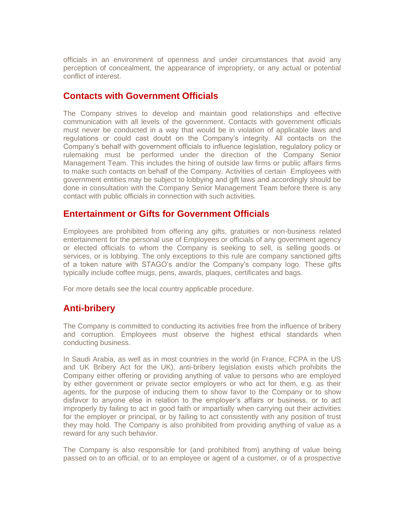officials in an environment of openness and under circumstances that avoid any perception of concealment, the appearance of impropriety, or any actual or potential conflict of interest.

#### **Contacts with Government Officials**

The Company strives to develop and maintain good relationships and effective communication with all levels of the government. Contacts with government officials must never be conducted in a way that would be in violation of applicable laws and regulations or could cast doubt on the Company's integrity. All contacts on the Company's behalf with government officials to influence legislation, regulatory policy or rulemaking must be performed under the direction of the Company Senior Management Team. This includes the hiring of outside law firms or public affairs firms to make such contacts on behalf of the Company. Activities of certain Employees with government entities may be subject to lobbying and gift laws and accordingly should be done in consultation with the Company Senior Management Team before there is any contact with public officials in connection with such activities.

#### **Entertainment or Gifts for Government Officials**

Employees are prohibited from offering any gifts, gratuities or non-business related entertainment for the personal use of Employees or officials of any government agency or elected officials to whom the Company is seeking to sell, is selling goods or services, or is lobbying. The only exceptions to this rule are company sanctioned gifts of a token nature with STAGO's and/or the Company's company logo. These gifts typically include coffee mugs, pens, awards, plaques, certificates and bags.

For more details see the local country applicable procedure.

## **Anti-bribery**

The Company is committed to conducting its activities free from the influence of bribery and corruption. Employees must observe the highest ethical standards when conducting business.

In Saudi Arabia, as well as in most countries in the world (in France, FCPA in the US and UK Bribery Act for the UK), anti-bribery legislation exists which prohibits the Company either offering or providing anything of value to persons who are employed by either government or private sector employers or who act for them, e.g. as their agents, for the purpose of inducing them to show favor to the Company or to show disfavor to anyone else in relation to the employer's affairs or business, or to act improperly by failing to act in good faith or impartially when carrying out their activities for the employer or principal, or by failing to act consistently with any position of trust they may hold. The Company is also prohibited from providing anything of value as a reward for any such behavior.

The Company is also responsible for (and prohibited from) anything of value being passed on to an official, or to an employee or agent of a customer, or of a prospective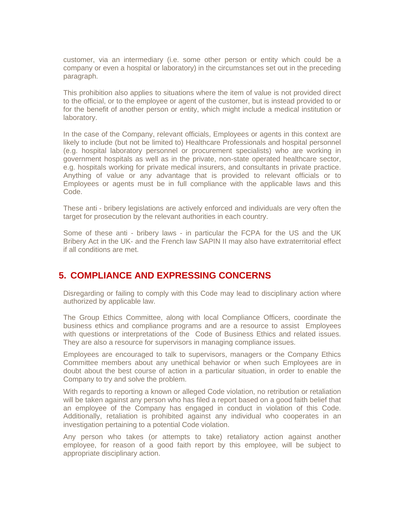customer, via an intermediary (i.e. some other person or entity which could be a company or even a hospital or laboratory) in the circumstances set out in the preceding paragraph.

This prohibition also applies to situations where the item of value is not provided direct to the official, or to the employee or agent of the customer, but is instead provided to or for the benefit of another person or entity, which might include a medical institution or laboratory.

In the case of the Company, relevant officials, Employees or agents in this context are likely to include (but not be limited to) Healthcare Professionals and hospital personnel (e.g. hospital laboratory personnel or procurement specialists) who are working in government hospitals as well as in the private, non-state operated healthcare sector, e.g. hospitals working for private medical insurers, and consultants in private practice. Anything of value or any advantage that is provided to relevant officials or to Employees or agents must be in full compliance with the applicable laws and this Code.

These anti - bribery legislations are actively enforced and individuals are very often the target for prosecution by the relevant authorities in each country.

Some of these anti - bribery laws - in particular the FCPA for the US and the UK Bribery Act in the UK- and the French law SAPIN II may also have extraterritorial effect if all conditions are met.

## **5. COMPLIANCE AND EXPRESSING CONCERNS**

Disregarding or failing to comply with this Code may lead to disciplinary action where authorized by applicable law.

The Group Ethics Committee, along with local Compliance Officers, coordinate the business ethics and compliance programs and are a resource to assist Employees with questions or interpretations of the Code of Business Ethics and related issues. They are also a resource for supervisors in managing compliance issues.

Employees are encouraged to talk to supervisors, managers or the Company Ethics Committee members about any unethical behavior or when such Employees are in doubt about the best course of action in a particular situation, in order to enable the Company to try and solve the problem.

With regards to reporting a known or alleged Code violation, no retribution or retaliation will be taken against any person who has filed a report based on a good faith belief that an employee of the Company has engaged in conduct in violation of this Code. Additionally, retaliation is prohibited against any individual who cooperates in an investigation pertaining to a potential Code violation.

Any person who takes (or attempts to take) retaliatory action against another employee, for reason of a good faith report by this employee, will be subject to appropriate disciplinary action.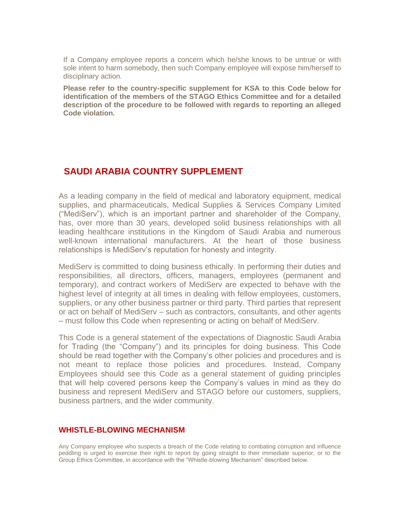If a Company employee reports a concern which he/she knows to be untrue or with sole intent to harm somebody, then such Company employee will expose him/herself to disciplinary action.

**Please refer to the country-specific supplement for KSA to this Code below for identification of the members of the STAGO Ethics Committee and for a detailed description of the procedure to be followed with regards to reporting an alleged Code violation.**

#### **SAUDI ARABIA COUNTRY SUPPLEMENT**

As a leading company in the field of medical and laboratory equipment, medical supplies, and pharmaceuticals, Medical Supplies & Services Company Limited ("MediServ"), which is an important partner and shareholder of the Company, has, over more than 30 years, developed solid business relationships with all leading healthcare institutions in the Kingdom of Saudi Arabia and numerous well-known international manufacturers. At the heart of those business relationships is MediServ's reputation for honesty and integrity.

MediServ is committed to doing business ethically. In performing their duties and responsibilities, all directors, officers, managers, employees (permanent and temporary), and contract workers of MediServ are expected to behave with the highest level of integrity at all times in dealing with fellow employees, customers, suppliers, or any other business partner or third party. Third parties that represent or act on behalf of MediServ – such as contractors, consultants, and other agents – must follow this Code when representing or acting on behalf of MediServ.

This Code is a general statement of the expectations of Diagnostic Saudi Arabia for Trading (the "Company") and its principles for doing business. This Code should be read together with the Company's other policies and procedures and is not meant to replace those policies and procedures. Instead, Company Employees should see this Code as a general statement of guiding principles that will help covered persons keep the Company's values in mind as they do business and represent MediServ and STAGO before our customers, suppliers, business partners, and the wider community.

#### **WHISTLE-BLOWING MECHANISM**

Any Company employee who suspects a breach of the Code relating to combating corruption and influence peddling is urged to exercise their right to report by going straight to their immediate superior, or to the Group Ethics Committee, in accordance with the "Whistle-blowing Mechanism" described below.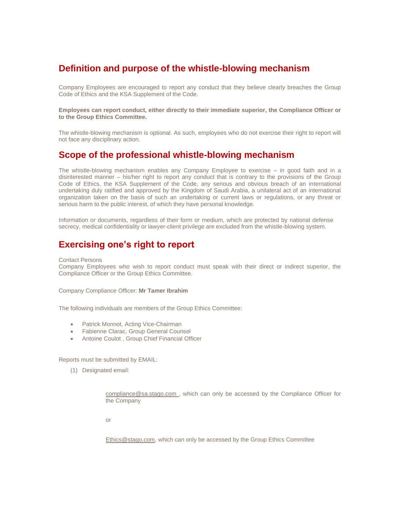## **Definition and purpose of the whistle-blowing mechanism**

Company Employees are encouraged to report any conduct that they believe clearly breaches the Group Code of Ethics and the KSA Supplement of the Code.

**Employees can report conduct, either directly to their immediate superior, the Compliance Officer or to the Group Ethics Committee.** 

The whistle-blowing mechanism is optional. As such, employees who do not exercise their right to report will not face any disciplinary action.

#### **Scope of the professional whistle-blowing mechanism**

The whistle-blowing mechanism enables any Company Employee to exercise – in good faith and in a disinterested manner – his/her right to report any conduct that is contrary to the provisions of the Group Code of Ethics, the KSA Supplement of the Code, any serious and obvious breach of an international undertaking duly ratified and approved by the Kingdom of Saudi Arabia, a unilateral act of an international organization taken on the basis of such an undertaking or current laws or regulations, or any threat or serious harm to the public interest, of which they have personal knowledge.

Information or documents, regardless of their form or medium, which are protected by national defense secrecy, medical confidentiality or lawyer-client privilege are excluded from the whistle-blowing system.

## **Exercising one's right to report**

#### Contact Persons

Company Employees who wish to report conduct must speak with their direct or indirect superior, the Compliance Officer or the Group Ethics Committee.

Company Compliance Officer: **Mr Tamer Ibrahim**

The following individuals are members of the Group Ethics Committee:

- Patrick Monnot, Acting Vice-Chairman
- Fabienne Clarac, Group General Counsel
- Antoine Coulot , Group Chief Financial Officer

Reports must be submitted by EMAIL:

(1) Designated email:

[compliance@sa.stago.com](mailto:compliance@sa.stago.com) , which can only be accessed by the Compliance Officer for the Company

or

[Ethics@stago.com,](mailto:Ethics@stago.com) which can only be accessed by the Group Ethics Committee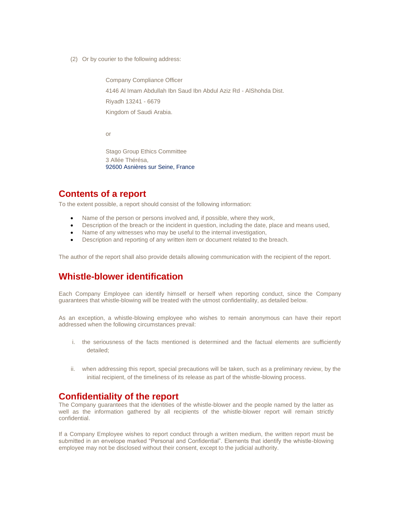(2) Or by courier to the following address:

Company Compliance Officer 4146 Al Imam Abdullah Ibn Saud Ibn Abdul Aziz Rd - AlShohda Dist. Riyadh 13241 - 6679 Kingdom of Saudi Arabia.

or

Stago Group Ethics Committee 3 Allée Thérésa, 92600 Asnières sur Seine, France

## **Contents of a report**

To the extent possible, a report should consist of the following information:

- Name of the person or persons involved and, if possible, where they work,
- Description of the breach or the incident in question, including the date, place and means used,
- Name of any witnesses who may be useful to the internal investigation,
- Description and reporting of any written item or document related to the breach.

The author of the report shall also provide details allowing communication with the recipient of the report.

## **Whistle-blower identification**

Each Company Employee can identify himself or herself when reporting conduct, since the Company guarantees that whistle-blowing will be treated with the utmost confidentiality, as detailed below.

As an exception, a whistle-blowing employee who wishes to remain anonymous can have their report addressed when the following circumstances prevail:

- i. the seriousness of the facts mentioned is determined and the factual elements are sufficiently detailed;
- ii. when addressing this report, special precautions will be taken, such as a preliminary review, by the initial recipient, of the timeliness of its release as part of the whistle-blowing process.

#### **Confidentiality of the report**

The Company guarantees that the identities of the whistle-blower and the people named by the latter as well as the information gathered by all recipients of the whistle-blower report will remain strictly confidential.

If a Company Employee wishes to report conduct through a written medium, the written report must be submitted in an envelope marked "Personal and Confidential". Elements that identify the whistle-blowing employee may not be disclosed without their consent, except to the judicial authority.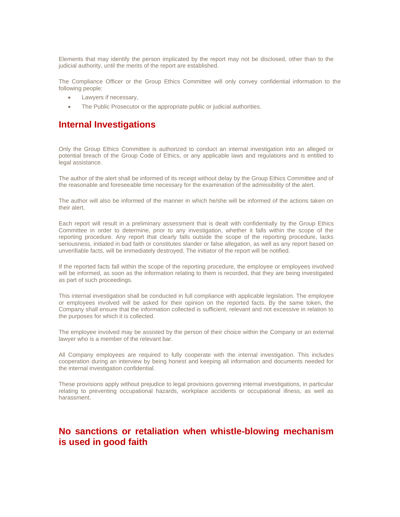Elements that may identify the person implicated by the report may not be disclosed, other than to the judicial authority, until the merits of the report are established.

The Compliance Officer or the Group Ethics Committee will only convey confidential information to the following people:

- Lawyers if necessary,
- The Public Prosecutor or the appropriate public or judicial authorities.

#### **Internal Investigations**

Only the Group Ethics Committee is authorized to conduct an internal investigation into an alleged or potential breach of the Group Code of Ethics, or any applicable laws and regulations and is entitled to legal assistance.

The author of the alert shall be informed of its receipt without delay by the Group Ethics Committee and of the reasonable and foreseeable time necessary for the examination of the admissibility of the alert.

The author will also be informed of the manner in which he/she will be informed of the actions taken on their alert.

Each report will result in a preliminary assessment that is dealt with confidentially by the Group Ethics Committee in order to determine, prior to any investigation, whether it falls within the scope of the reporting procedure. Any report that clearly falls outside the scope of the reporting procedure, lacks seriousness, initiated in bad faith or constitutes slander or false allegation, as well as any report based on unverifiable facts, will be immediately destroyed. The initiator of the report will be notified.

If the reported facts fall within the scope of the reporting procedure, the employee or employees involved will be informed, as soon as the information relating to them is recorded, that they are being investigated as part of such proceedings.

This internal investigation shall be conducted in full compliance with applicable legislation. The employee or employees involved will be asked for their opinion on the reported facts. By the same token, the Company shall ensure that the information collected is sufficient, relevant and not excessive in relation to the purposes for which it is collected.

The employee involved may be assisted by the person of their choice within the Company or an external lawyer who is a member of the relevant bar.

All Company employees are required to fully cooperate with the internal investigation. This includes cooperation during an interview by being honest and keeping all information and documents needed for the internal investigation confidential.

These provisions apply without prejudice to legal provisions governing internal investigations, in particular relating to preventing occupational hazards, workplace accidents or occupational illness, as well as harassment.

## **No sanctions or retaliation when whistle-blowing mechanism is used in good faith**